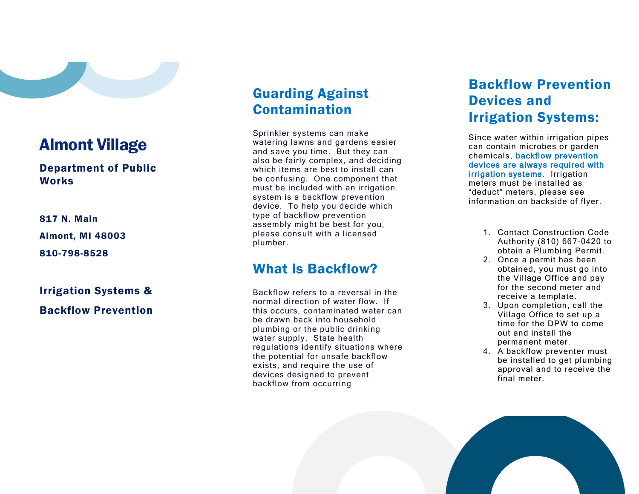

### $\overline{a}$ Almont Village

#### Department of Public **Works**

817 N. Main Almont, MI 48003 810 -798 -8528

# Irrigation Systems &

## Guarding Against Contamination

Sprinkler systems can make watering lawns and gardens easier and save you time. But they can also be fairly complex, and deciding which items are best to install can be confusing. One component that must be included with an irrigation system is a backflow prevention device. To help you decide which type of backflow prevention assembly might be best for you, please consult with a licensed plumber.

## What is Backflow?

Backflow refers to a reversal in the normal direction of water flow. If this occurs, contaminated water can be drawn back into household plumbing or the public drinking water supply. State health regulations identify situations where the potential for unsafe backflow exists, and require the use of devices designed to prevent backflow from occurring

## Backflow Prevention Devices and Irrigation Systems:

Since water within irrigation pipes can contain microbes or garden chemicals, backflow prevention devices are always required with irrigation systems . Irrigation meters must be installed as "deduct" meters, please see information on backside of flyer.

- 1. Contact Construction Code Authority (810) 667 -0420 to obtain a Plumbing Permit.
- 2. Once a permit has been obtained, you must go into the Village Office and pay for the second meter and receive a template.
- 3. Upon completion, call the Village Office to set up a time for the DPW to come out and install the permanent meter.
- 4. A backflow preventer must be installed to get plumbing approval and to receive the final meter